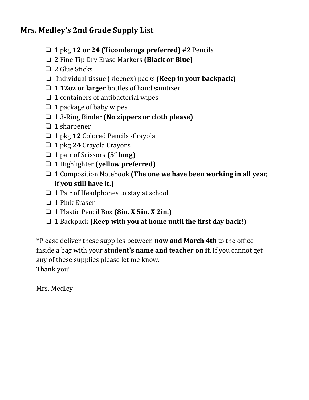# **Mrs. Medley's 2nd Grade Supply List**

- ❏ 1 pkg **12 or 24 (Ticonderoga preferred)** #2 Pencils
- ❏ 2 Fine Tip Dry Erase Markers **(Black or Blue)**
- ❏ 2 Glue Sticks
- ❏ Individual tissue (kleenex) packs **(Keep in your backpack)**
- ❏ 1 **12oz or larger** bottles of hand sanitizer
- ❏ 1 containers of antibacterial wipes
- $\Box$  1 package of baby wipes
- ❏ 1 3-Ring Binder **(No zippers or cloth please)**
- ❏ 1 sharpener
- ❏ 1 pkg **12** Colored Pencils -Crayola
- ❏ 1 pkg **24** Crayola Crayons
- ❏ 1 pair of Scissors **(5" long)**
- ❏ 1 Highlighter **(yellow preferred)**
- ❏ 1 Composition Notebook **(The one we have been working in all year, if you still have it.)**
- ❏ 1 Pair of Headphones to stay at school
- ❏ 1 Pink Eraser
- ❏ 1 Plastic Pencil Box **(8in. X 5in. X 2in.)**
- ❏ 1 Backpack **(Keep with you at home until the irst day back!)**

\*Please deliver these supplies between **now and March 4th** to the ofice inside a bag with your **student's name and teacher on it**. If you cannot get any of these supplies please let me know.

Thank you!

Mrs. Medley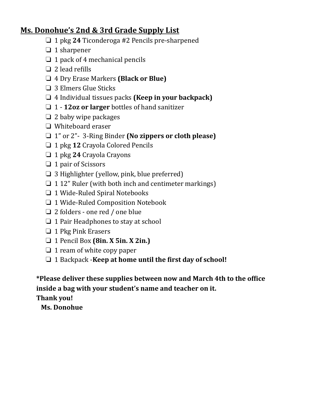### **Ms. Donohue's 2nd & 3rd Grade Supply List**

- ❏ 1 pkg **24** Ticonderoga #2 Pencils pre-sharpened
- ❏ 1 sharpener
- ❏ 1 pack of 4 mechanical pencils
- $\Box$  2 lead refills
- ❏ 4 Dry Erase Markers **(Black or Blue)**
- ❏ 3 Elmers Glue Sticks
- ❏ 4 Individual tissues packs **(Keep in your backpack)**
- ❏ 1 **12oz or larger** bottles of hand sanitizer
- ❏ 2 baby wipe packages
- ❏ Whiteboard eraser
- ❏ 1" or 2"- 3-Ring Binder **(No zippers or cloth please)**
- ❏ 1 pkg **12** Crayola Colored Pencils
- ❏ 1 pkg **24** Crayola Crayons
- ❏ 1 pair of Scissors
- ❏ 3 Highlighter (yellow, pink, blue preferred)
- ❏ 1 12" Ruler (with both inch and centimeter markings)
- ❏ 1 Wide-Ruled Spiral Notebooks
- ❏ 1 Wide-Ruled Composition Notebook
- ❏ 2 folders one red / one blue
- ❏ 1 Pair Headphones to stay at school
- ❏ 1 Pkg Pink Erasers
- ❏ 1 Pencil Box **(8in. X 5in. X 2in.)**
- ❏ 1 ream of white copy paper
- ❏ 1 Backpack -**Keep at home until the irst day of school!**

**\*Please deliver these supplies between now and March 4th to the ofice inside a bag with your student's name and teacher on it. Thank you!**

**Ms. Donohue**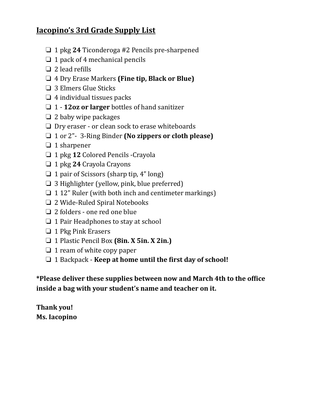# **Iacopino's 3rd Grade Supply List**

- ❏ 1 pkg **24** Ticonderoga #2 Pencils pre-sharpened
- ❏ 1 pack of 4 mechanical pencils
- $\Box$  2 lead refills
- ❏ 4 Dry Erase Markers **(Fine tip, Black or Blue)**
- ❏ 3 Elmers Glue Sticks
- $\Box$  4 individual tissues packs
- ❏ 1 **12oz or larger** bottles of hand sanitizer
- ❏ 2 baby wipe packages
- ❏ Dry eraser or clean sock to erase whiteboards
- ❏ 1 or 2"- 3-Ring Binder **(No zippers or cloth please)**
- ❏ 1 sharpener
- ❏ 1 pkg **12** Colored Pencils -Crayola
- ❏ 1 pkg **24** Crayola Crayons
- ❏ 1 pair of Scissors (sharp tip, 4" long)
- ❏ 3 Highlighter (yellow, pink, blue preferred)
- ❏ 1 12" Ruler (with both inch and centimeter markings)
- ❏ 2 Wide-Ruled Spiral Notebooks
- ❏ 2 folders one red one blue
- ❏ 1 Pair Headphones to stay at school
- ❏ 1 Pkg Pink Erasers
- ❏ 1 Plastic Pencil Box **(8in. X 5in. X 2in.)**
- ❏ 1 ream of white copy paper
- ❏ 1 Backpack **Keep at home until the irst day of school!**

**\*Please deliver these supplies between now and March 4th to the ofice inside a bag with your student's name and teacher on it.** 

**Thank you! Ms. Iacopino**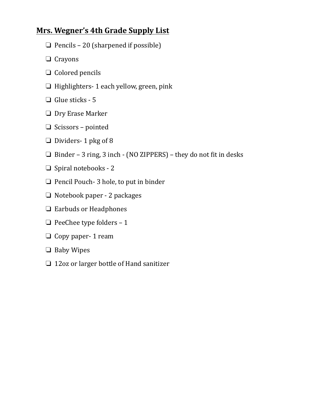### **Mrs. Wegner's 4th Grade Supply List**

- ❏ Pencils 20 (sharpened if possible)
- ❏ Crayons
- ❏ Colored pencils
- ❏ Highlighters- 1 each yellow, green, pink
- ❏ Glue sticks 5
- ❏ Dry Erase Marker
- ❏ Scissors pointed
- ❏ Dividers- 1 pkg of 8
- ❏ Binder 3 ring, 3 inch (NO ZIPPERS) they do not it in desks
- ❏ Spiral notebooks 2
- ❏ Pencil Pouch- 3 hole, to put in binder
- ❏ Notebook paper 2 packages
- ❏ Earbuds or Headphones
- $\Box$  PeeChee type folders 1
- ❏ Copy paper- 1 ream
- ❏ Baby Wipes
- ❏ 12oz or larger bottle of Hand sanitizer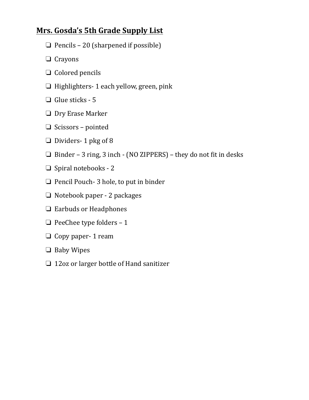### **Mrs. Gosda's 5th Grade Supply List**

- $\Box$  Pencils 20 (sharpened if possible)
- ❏ Crayons
- ❏ Colored pencils
- ❏ Highlighters- 1 each yellow, green, pink
- ❏ Glue sticks 5
- ❏ Dry Erase Marker
- ❏ Scissors pointed
- ❏ Dividers- 1 pkg of 8
- ❏ Binder 3 ring, 3 inch (NO ZIPPERS) they do not it in desks
- ❏ Spiral notebooks 2
- ❏ Pencil Pouch- 3 hole, to put in binder
- ❏ Notebook paper 2 packages
- ❏ Earbuds or Headphones
- $\Box$  PeeChee type folders 1
- ❏ Copy paper- 1 ream
- ❏ Baby Wipes
- ❏ 12oz or larger bottle of Hand sanitizer